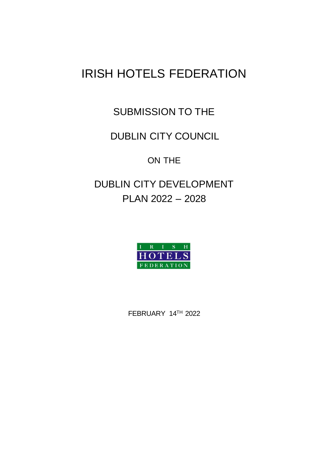# IRISH HOTELS FEDERATION

SUBMISSION TO THE

DUBLIN CITY COUNCIL

ON THE

DUBLIN CITY DEVELOPMENT PLAN 2022 – 2028



FEBRUARY 14TH 2022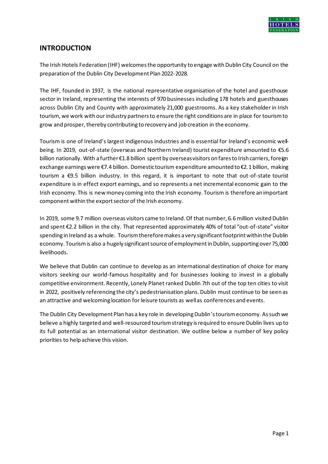

### **INTRODUCTION**

The Irish Hotels Federation (IHF) welcomes the opportunity to engage with Dublin City Council on the preparation of the Dublin City Development Plan 2022-2028.

The IHF, founded in 1937, is the national representative organisation of the hotel and guesthouse sector in Ireland, representing the interests of 970 businesses including 178 hotels and guesthouses across Dublin City and County with approximately 21,000 guestrooms. As a key stakeholder in Irish tourism, we work with our industry partners to ensure the right conditions are in place for tourism to grow and prosper, thereby contributing to recovery and job creation in the economy.

Tourism is one of Ireland's largest indigenous industries and is essential for Ireland's economic wellbeing. In 2019, out-of-state (overseas and Northern Ireland) tourist expenditure amounted to €5.6 billion nationally. With a further €1.8 billion spent by overseas visitors on fares to Irish carriers, foreign exchange earnings were €7.4 billion. Domestic tourism expenditure amounted to €2.1 billion, making tourism a €9.5 billion industry. In this regard, it is important to note that out-of-state tourist expenditure is in effect export earnings, and so represents a net incremental economic gain to the Irish economy. This is new money coming into the Irish economy. Tourism is therefore an important component within the export sector of the Irish economy.

In 2019, some 9.7 million overseas visitors came to Ireland. Of that number, 6.6million visited Dublin and spent €2.2 billion in the city. That represented approximately 40% of total "out-of-state" visitor spending in Ireland as a whole. Tourism therefore makes a very significant footprint within the Dublin economy. Tourism is also a hugely significant source of employment in Dublin, supporting over 75,000 livelihoods.

We believe that Dublin can continue to develop as an international destination of choice for many visitors seeking our world-famous hospitality and for businesses looking to invest in a globally competitive environment. Recently, Lonely Planet ranked Dublin 7th out of the top ten cities to visit in 2022, positively referencing the city's pedestrianisation plans. Dublin must continue to be seen as an attractive and welcoming location for leisure tourists as well as conferences and events.

The Dublin City Development Plan has a key role in developing Dublin's tourism economy. As such we believe a highly targeted and well-resourced tourism strategy is required to ensure Dublin lives up to its full potential as an international visitor destination. We outline below a number of key policy priorities to help achieve this vision.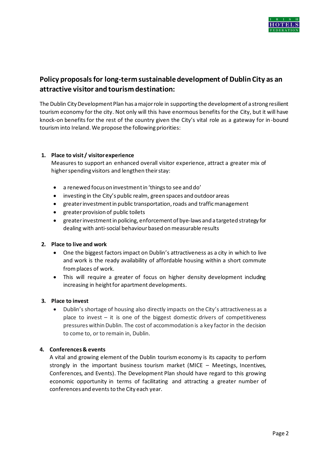

## **Policy proposals for long-term sustainable development of Dublin City as an attractive visitor and tourism destination:**

The Dublin City Development Plan has a major role in supporting the development of a strong resilient tourism economy for the city. Not only will this have enormous benefits for the City, but it will have knock-on benefits for the rest of the country given the City's vital role as a gateway for in-bound tourism into Ireland. We propose the following priorities:

#### **1. Place to visit / visitor experience**

Measures to support an enhanced overall visitor experience, attract a greater mix of higher spending visitors and lengthen their stay:

- a renewed focus on investment in 'things to see and do'
- investing in the City's public realm, green spaces and outdoor areas
- greater investment in public transportation, roads and traffic management
- greater provision of public toilets
- greater investmentin policing, enforcement of bye-laws and a targeted strategy for dealing with anti-social behaviour based on measurable results

#### **2. Place to live and work**

- One the biggest factors impact on Dublin's attractiveness as a city in which to live and work is the ready availability of affordable housing within a short commute from places of work.
- This will require a greater of focus on higher density development including increasing in height for apartment developments.

#### **3. Place to invest**

• Dublin's shortage of housing also directly impacts on the City's attractiveness as a place to invest – it is one of the biggest domestic drivers of competitiveness pressures within Dublin. The cost of accommodation is a key factor in the decision to come to, or to remain in, Dublin.

#### **4. Conferences & events**

A vital and growing element of the Dublin tourism economy is its capacity to perform strongly in the important business tourism market (MICE – Meetings, Incentives, Conferences, and Events). The Development Plan should have regard to this growing economic opportunity in terms of facilitating and attracting a greater number of conferences and events to the City each year.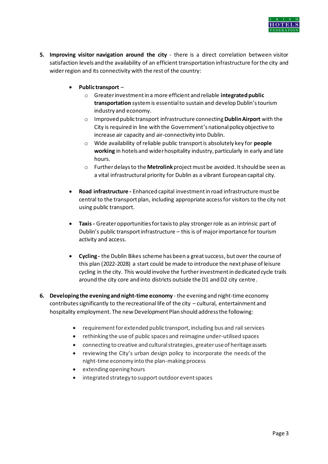

- **5. Improving visitor navigation around the city** there is a direct correlation between visitor satisfaction levels and the availability of an efficient transportation infrastructure for the city and wider region and its connectivity with the rest of the country:
	- **Public transport**
		- o Greater investment in a more efficient and reliable **integrated public transportation** system is essential to sustain and develop Dublin's tourism industry and economy.
		- o Improved public transport infrastructure connecting **Dublin Airport** with the City is required in line with the Government's nationalpolicy objective to increase air capacity and air-connectivity into Dublin.
		- o Wide availability of reliable public transport is absolutely key for **people working** in hotels and wider hospitality industry, particularly in early and late hours.
		- o Further delays to the **Metrolink** projectmust be avoided. It should be seen as a vital infrastructural priority for Dublin as a vibrant European capital city.
	- **Road infrastructure -** Enhanced capital investment in road infrastructure must be central to the transport plan, including appropriate access for visitors to the city not using public transport.
	- **Taxis -** Greater opportunities for taxis to play stronger role as an intrinsic part of Dublin's public transport infrastructure – this is of major importance for tourism activity and access.
	- **Cycling -** the Dublin Bikes scheme has been a great success, but over the course of this plan (2022-2028) a start could be made to introduce the next phase of leisure cycling in the city. This would involve the further investment in dedicated cycle trails around the city core and into districts outside the D1 and D2 city centre.
- **6. Developing the evening and night-time economy** the evening and night-time economy contributes significantly to the recreational life of the city – cultural, entertainment and hospitality employment. The new Development Plan should address the following:
	- requirement for extended public transport, including bus and rail services
	- rethinking the use of public spaces and reimagine under-utilised spaces
	- connecting to creative and cultural strategies, greater use of heritage assets
	- reviewing the City's urban design policy to incorporate the needs of the night-time economy into the plan-making process
	- extending opening hours
	- integrated strategy to support outdoor event spaces